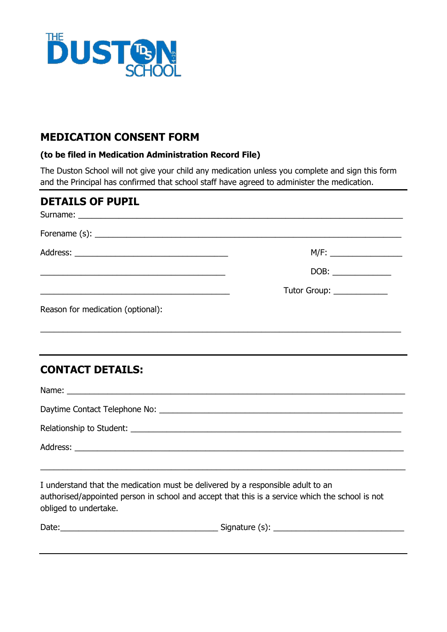

#### **MEDICATION CONSENT FORM**

#### **(to be filed in Medication Administration Record File)**

The Duston School will not give your child any medication unless you complete and sign this form and the Principal has confirmed that school staff have agreed to administer the medication.

| <b>DETAILS OF PUPIL</b>                                                          |                           |
|----------------------------------------------------------------------------------|---------------------------|
|                                                                                  |                           |
|                                                                                  |                           |
|                                                                                  |                           |
| <u> 1989 - Johann Stoff, amerikansk politiker (d. 1989)</u>                      | Tutor Group: ____________ |
| Reason for medication (optional):                                                |                           |
|                                                                                  |                           |
| ,我们也不会有什么。""我们的人,我们也不会有什么?""我们的人,我们也不会有什么?""我们的人,我们也不会有什么?""我们的人,我们也不会有什么?""我们的人 |                           |
| <b>CONTACT DETAILS:</b>                                                          |                           |
|                                                                                  |                           |
|                                                                                  |                           |
|                                                                                  |                           |
|                                                                                  |                           |
| <u> 1989 - Johann Stoff, amerikansk politiker (d. 1989)</u>                      |                           |
| I understand that the medication must be delivered by a responsible adult to an  |                           |

I understand that the medication must be delivered by a responsible adult to an authorised/appointed person in school and accept that this is a service which the school is not obliged to undertake.

| Date:<br>.<br>$\sim$ $\sim$ $\sim$<br>נ ו<br>ышашн |  |
|----------------------------------------------------|--|
|----------------------------------------------------|--|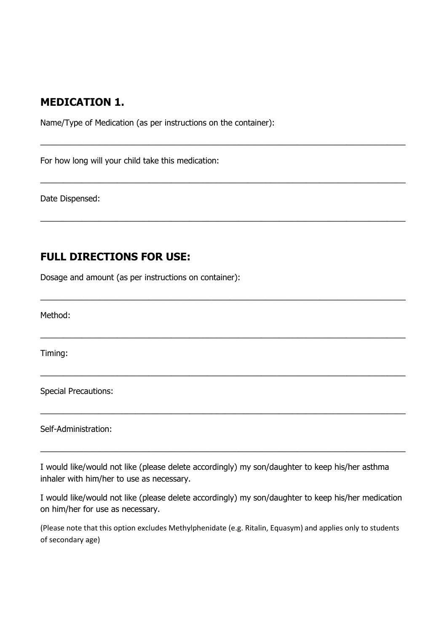## **MEDICATION 1.**

Name/Type of Medication (as per instructions on the container):

 $\_$  ,  $\_$  ,  $\_$  ,  $\_$  ,  $\_$  ,  $\_$  ,  $\_$  ,  $\_$  ,  $\_$  ,  $\_$  ,  $\_$  ,  $\_$  ,  $\_$  ,  $\_$  ,  $\_$  ,  $\_$  ,  $\_$  ,  $\_$  ,  $\_$  ,  $\_$  ,  $\_$  ,  $\_$  ,  $\_$  ,  $\_$  ,  $\_$  ,  $\_$  ,  $\_$  ,  $\_$  ,  $\_$  ,  $\_$  ,  $\_$  ,  $\_$  ,  $\_$  ,  $\_$  ,  $\_$  ,  $\_$  ,  $\_$  ,

\_\_\_\_\_\_\_\_\_\_\_\_\_\_\_\_\_\_\_\_\_\_\_\_\_\_\_\_\_\_\_\_\_\_\_\_\_\_\_\_\_\_\_\_\_\_\_\_\_\_\_\_\_\_\_\_\_\_\_\_\_\_\_\_\_\_\_\_\_\_\_\_\_\_\_\_\_\_\_\_\_

\_\_\_\_\_\_\_\_\_\_\_\_\_\_\_\_\_\_\_\_\_\_\_\_\_\_\_\_\_\_\_\_\_\_\_\_\_\_\_\_\_\_\_\_\_\_\_\_\_\_\_\_\_\_\_\_\_\_\_\_\_\_\_\_\_\_\_\_\_\_\_\_\_\_\_\_\_\_\_\_\_

\_\_\_\_\_\_\_\_\_\_\_\_\_\_\_\_\_\_\_\_\_\_\_\_\_\_\_\_\_\_\_\_\_\_\_\_\_\_\_\_\_\_\_\_\_\_\_\_\_\_\_\_\_\_\_\_\_\_\_\_\_\_\_\_\_\_\_\_\_\_\_\_\_\_\_\_\_\_\_\_\_

\_\_\_\_\_\_\_\_\_\_\_\_\_\_\_\_\_\_\_\_\_\_\_\_\_\_\_\_\_\_\_\_\_\_\_\_\_\_\_\_\_\_\_\_\_\_\_\_\_\_\_\_\_\_\_\_\_\_\_\_\_\_\_\_\_\_\_\_\_\_\_\_\_\_\_\_\_\_\_\_\_

 $\_$  ,  $\_$  ,  $\_$  ,  $\_$  ,  $\_$  ,  $\_$  ,  $\_$  ,  $\_$  ,  $\_$  ,  $\_$  ,  $\_$  ,  $\_$  ,  $\_$  ,  $\_$  ,  $\_$  ,  $\_$  ,  $\_$  ,  $\_$  ,  $\_$  ,  $\_$  ,  $\_$  ,  $\_$  ,  $\_$  ,  $\_$  ,  $\_$  ,  $\_$  ,  $\_$  ,  $\_$  ,  $\_$  ,  $\_$  ,  $\_$  ,  $\_$  ,  $\_$  ,  $\_$  ,  $\_$  ,  $\_$  ,  $\_$  ,

\_\_\_\_\_\_\_\_\_\_\_\_\_\_\_\_\_\_\_\_\_\_\_\_\_\_\_\_\_\_\_\_\_\_\_\_\_\_\_\_\_\_\_\_\_\_\_\_\_\_\_\_\_\_\_\_\_\_\_\_\_\_\_\_\_\_\_\_\_\_\_\_\_\_\_\_\_\_\_\_\_

\_\_\_\_\_\_\_\_\_\_\_\_\_\_\_\_\_\_\_\_\_\_\_\_\_\_\_\_\_\_\_\_\_\_\_\_\_\_\_\_\_\_\_\_\_\_\_\_\_\_\_\_\_\_\_\_\_\_\_\_\_\_\_\_\_\_\_\_\_\_\_\_\_\_\_\_\_\_\_\_\_

For how long will your child take this medication:

Date Dispensed:

## **FULL DIRECTIONS FOR USE:**

Dosage and amount (as per instructions on container):

Method:

Timing:

Special Precautions:

Self-Administration:

I would like/would not like (please delete accordingly) my son/daughter to keep his/her asthma inhaler with him/her to use as necessary.

I would like/would not like (please delete accordingly) my son/daughter to keep his/her medication on him/her for use as necessary.

(Please note that this option excludes Methylphenidate (e.g. Ritalin, Equasym) and applies only to students of secondary age)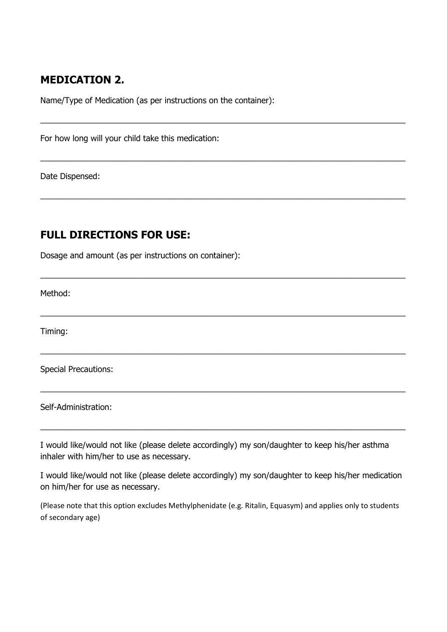# **MEDICATION 2.**

Name/Type of Medication (as per instructions on the container):

\_\_\_\_\_\_\_\_\_\_\_\_\_\_\_\_\_\_\_\_\_\_\_\_\_\_\_\_\_\_\_\_\_\_\_\_\_\_\_\_\_\_\_\_\_\_\_\_\_\_\_\_\_\_\_\_\_\_\_\_\_\_\_\_\_\_\_\_\_\_\_\_\_\_\_\_\_\_\_\_\_

\_\_\_\_\_\_\_\_\_\_\_\_\_\_\_\_\_\_\_\_\_\_\_\_\_\_\_\_\_\_\_\_\_\_\_\_\_\_\_\_\_\_\_\_\_\_\_\_\_\_\_\_\_\_\_\_\_\_\_\_\_\_\_\_\_\_\_\_\_\_\_\_\_\_\_\_\_\_\_\_\_

 $\_$  ,  $\_$  ,  $\_$  ,  $\_$  ,  $\_$  ,  $\_$  ,  $\_$  ,  $\_$  ,  $\_$  ,  $\_$  ,  $\_$  ,  $\_$  ,  $\_$  ,  $\_$  ,  $\_$  ,  $\_$  ,  $\_$  ,  $\_$  ,  $\_$  ,  $\_$  ,  $\_$  ,  $\_$  ,  $\_$  ,  $\_$  ,  $\_$  ,  $\_$  ,  $\_$  ,  $\_$  ,  $\_$  ,  $\_$  ,  $\_$  ,  $\_$  ,  $\_$  ,  $\_$  ,  $\_$  ,  $\_$  ,  $\_$  ,

\_\_\_\_\_\_\_\_\_\_\_\_\_\_\_\_\_\_\_\_\_\_\_\_\_\_\_\_\_\_\_\_\_\_\_\_\_\_\_\_\_\_\_\_\_\_\_\_\_\_\_\_\_\_\_\_\_\_\_\_\_\_\_\_\_\_\_\_\_\_\_\_\_\_\_\_\_\_\_\_\_

\_\_\_\_\_\_\_\_\_\_\_\_\_\_\_\_\_\_\_\_\_\_\_\_\_\_\_\_\_\_\_\_\_\_\_\_\_\_\_\_\_\_\_\_\_\_\_\_\_\_\_\_\_\_\_\_\_\_\_\_\_\_\_\_\_\_\_\_\_\_\_\_\_\_\_\_\_\_\_\_\_

\_\_\_\_\_\_\_\_\_\_\_\_\_\_\_\_\_\_\_\_\_\_\_\_\_\_\_\_\_\_\_\_\_\_\_\_\_\_\_\_\_\_\_\_\_\_\_\_\_\_\_\_\_\_\_\_\_\_\_\_\_\_\_\_\_\_\_\_\_\_\_\_\_\_\_\_\_\_\_\_\_

\_\_\_\_\_\_\_\_\_\_\_\_\_\_\_\_\_\_\_\_\_\_\_\_\_\_\_\_\_\_\_\_\_\_\_\_\_\_\_\_\_\_\_\_\_\_\_\_\_\_\_\_\_\_\_\_\_\_\_\_\_\_\_\_\_\_\_\_\_\_\_\_\_\_\_\_\_\_\_\_\_

\_\_\_\_\_\_\_\_\_\_\_\_\_\_\_\_\_\_\_\_\_\_\_\_\_\_\_\_\_\_\_\_\_\_\_\_\_\_\_\_\_\_\_\_\_\_\_\_\_\_\_\_\_\_\_\_\_\_\_\_\_\_\_\_\_\_\_\_\_\_\_\_\_\_\_\_\_\_\_\_\_

For how long will your child take this medication:

Date Dispensed:

## **FULL DIRECTIONS FOR USE:**

Dosage and amount (as per instructions on container):

Method:

Timing:

Special Precautions:

Self-Administration:

I would like/would not like (please delete accordingly) my son/daughter to keep his/her asthma inhaler with him/her to use as necessary.

I would like/would not like (please delete accordingly) my son/daughter to keep his/her medication on him/her for use as necessary.

(Please note that this option excludes Methylphenidate (e.g. Ritalin, Equasym) and applies only to students of secondary age)